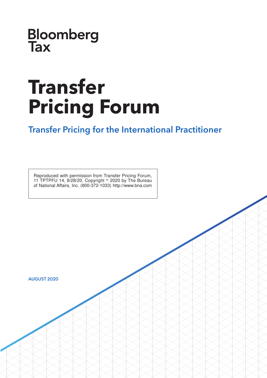**Bloomberg**<br>Tax

# **Transfer Pricing Forum**

### Transfer Pricing for the International Practitioner

Reproduced with permission from Transfer Pricing Forum, 11 TPTPFU 14, 8/28/20. Copyright  $\degree$  2020 by The Bureau of National Affairs, Inc. (800-372-1033) http://www.bna.com

AUGUST 2020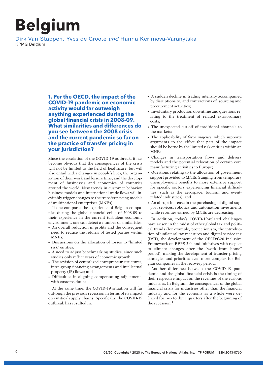## **Belgium**

Dirk Van Stappen, Yves de Groote and Hanna Kerimova-Varanytska KPMG Belgium

> **1. Per the OECD, the impact of the COVID-19 pandemic on economic activity would far outweigh anything experienced during the global financial crisis in 2008-09. What similarities and differences do you see between the 2008 crisis and the current pandemic so far on the practice of transfer pricing in your jurisdiction?**

> Since the escalation of the COVID-19 outbreak, it has become obvious that the consequences of the crisis will not be limited to the field of healthcare, but will also entail wider changes in people's lives, the organization of their work and leisure time, and the development of businesses and economies of countries around the world. New trends in customer behavior, business models and international trade flows will inevitably trigger changes to the transfer pricing models of multinational enterprises (MNEs).

> If one compares the experience of Belgian companies during the global financial crisis of 2008-09 to their experience in the current turbulent economic environment, one can detect a number of similarities:

- An overall reduction in profits and the consequent need to reduce the returns of tested parties within MNEs<sup>.</sup>
- Discussions on the allocation of losses to "limited" risk'' entities;
- A need to adjust benchmarking studies, since such studies only reflect years of economic growth;
- The revision of centralized entrepreneur structures, intra-group financing arrangements and intellectual property (IP) flows; and
- Difficulties in aligning compensating adjustments with customs duties.

At the same time, the COVID-19 situation will far outweigh the previous recession in terms of its impact on entities' supply chains. Specifically, the COVID-19 outbreak has resulted in:

- A sudden decline in trading intensity accompanied by disruptions to, and contractions of, sourcing and procurement activities;
- Involuntary production downtime and questions relating to the treatment of related extraordinary costs;
- The unexpected cut-off of traditional channels to the markets;
- The applicability of *force majeure*, which supports arguments to the effect that part of the impact should be borne by the limited risk entities within an  $MNF$
- Changes in transportation flows and delivery models and the potential relocation of certain core manufacturing activities to Europe;
- Questions relating to the allocation of government support provided to MNEs (ranging from temporary unemployment benefits to more extensive support for specific sectors experiencing financial difficulties, such as the aerospace, tourism and eventrelated industries); and
- An abrupt increase in the purchasing of digital support services, robotics and automation investments while revenues earned by MNEs are decreasing.

In addition, today's COVID-19-related challenges have arisen in the midst of other global tax and political trends (for example, protectionism, the introduction of unilateral tax measures and digital service tax (DST), the development of the OECD/G20 Inclusive Framework on BEPS 2.0, and initiatives with respect to climate changes after the ''work from home'' period), making the development of transfer pricing strategies and priorities even more complex for Belgian companies in the recovery period.

Another difference between the COVID-19 pandemic and the global financial crisis is the timing of their respective impact on the revenues of the various industries. In Belgium, the consequences of the global financial crisis for industries other than the financial industry and for the economy as a whole were deferred for two to three quarters after the beginning of the recession:<sup>1</sup>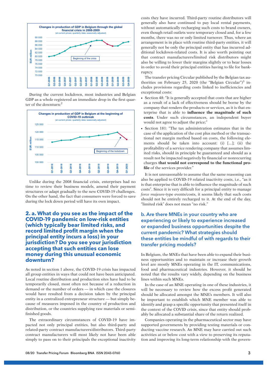

During the current lockdown, most industries and Belgian GDP as a whole registered an immediate drop in the first quarter of the downturn:<sup>2</sup>



Unlike during the 2008 financial crisis, enterprises had no time to review their business models, amend their payment structures or adapt gradually to the new COVID-19 challenges. On the other hand, the fact that consumers were forced to save during the lock down period will have its own impact.

#### **2. a. What do you see as the impact of the COVID-19 pandemic on low-risk entities (which typically bear limited risks, and record limited profit margin when the principal entity incurs a loss) in your jurisdiction? Do you see your jurisdiction accepting that such entities can lose money during this unusual economic downturn?**

As noted in section 1 above, the COVID-19 crisis has impacted all group entities in ways that could not have been anticipated. Local routine distribution and production sites have had to be temporarily closed, most often not because of a reduction in demand or the number of orders — in which case the closures would have resulted from a decision taken by the principal entity in a centralized entrepreneur structure — but simply because of measures imposed in the country of production and distribution, or the countries supplying raw materials or semifinished goods.

The extraordinary circumstances of COVID-19 have impacted not only principal entities, but also third-party and related-party contract manufacturers/distributors. Third-party contract manufacturers will most likely not have been able simply to pass on to their principals the exceptional inactivity costs they have incurred. Third-party routine distributors will generally also have continued to pay local rental payments, without automatically recharging such costs to brand owners, even though retail outlets were temporary closed and, for a few months, there was no or only limited turnover. Thus, where an arrangement is in place with routine third-party entities, it will generally not be only the principal entity that has incurred additional lockdown-related costs. It is also worth pointing out that contract manufacturers/limited risk distributors might also be willing to lower their margins slightly or to bear losses in order to avoid their principal entities having to file for bankruptcy.

The transfer pricing Circular published by the Belgian tax authorities on February 25, 2020 (the "Belgian Circular")<sup>3</sup> includes provisions regarding costs linked to inefficiencies and exceptional costs:

- Section 48: "It is generally accepted that costs that are higher as a result of a lack of effectiveness should be borne by the company that renders the products or services, as it is that enterprise that is able to **influence the magnitude of such costs**. Under such circumstances, an independent buyer would not agree to adjust the price;''
- Section 181: "The tax administration estimates that in the case of the application of the cost plus method or the transactional net margin method based on costs, the following elements should be taken into account: (i) [...]; (ii) the profitability of a service rendering company that assumes limited risks, should in principle be guaranteed and should as a result not be impacted negatively by financial or nonrecurring charges **that would not correspond to the functional profile** of the services provider.''

It is not unreasonable to assume that the same reasoning can also be applied to COVID-19 related inactivity costs, i.e., ''as it is that enterprise that is able to influence the magnitude of such costs''. Since it is very difficult for a principal entity to manage *force majeure*-type events/costs, it seems likely that such costs should not be entirely recharged to it. At the end of the day, ''limited risk'' does not mean ''no risk.''

#### b. Are there MNEs in your country who are experiencing or likely to experience increased or expanded business opportunities despite the current pandemic? What strategies should these entities be mindful of with regards to their transfer pricing models?

In Belgium, the MNEs that have been able to expand their business opportunities and to maintain or increase their growth level are mostly MNEs operating in the IT, communications, food and pharmaceutical industries. However, it should be noted that the results vary widely, depending on the business lines within such MNEs.

In the case of an MNE operating in one of these industries, it will be necessary to review how the excess profit generated should be allocated amongst the MNE's members. It will also be important to establish which MNE member was able to identify and grasp a specific opportunity that presented itself in the context of the COVID crisis, since that entity should probably be allocated a substantial share of the return realized.

Companies operating in the pharmaceutical sector may have supported governments by providing testing materials or conducting vaccine research. An MNE may have carried out such activities at or below cost with a view to preserving its reputation and improving its long-term relationship with the govern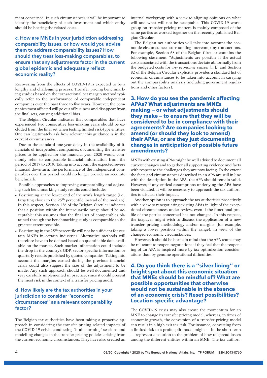ment concerned. In such circumstances it will be important to identify the beneficiary of such investment and which entity should be bearing the related costs.

### c. How are MNEs in your jurisdiction addressing comparability issues, or how would you advise them to address comparability issues? How should they treat loss-making comparables, to ensure that any adjustments factor in the current global epidemic and adequately reflect economic reality?

Recovering from the effects of COVID-19 is expected to be a lengthy and challenging process. Transfer pricing benchmarking studies based on the transactional net margin method typically refer to the performance of comparable independent companies over the past three to five years. However, the companies most affected will go out of business and disappear from the final sets, causing additional bias.

The Belgian Circular indicates that comparables that have experienced two consecutive loss-making years should be excluded from the final set when testing limited risk-type entities. One can legitimately ask how relevant this guidance is in the current circumstances.

Due to the standard one-year delay in the availability of financials of independent companies, documenting the transfer prices to be applied for the financial year 2020 would commonly refer to comparable financial information from the period of 2017 to 2019. Taking into account the expected severe financial downturn, the performance of the independent comparables over this period would no longer provide an accurate benchmark.

Possible approaches to improving comparability and adjusting such benchmarking study results could include:

- Positioning at the lower end of the arm's length range (i.e., targeting closer to the  $25<sup>th</sup>$  percentile instead of the median). In this respect, Section 126 of the Belgian Circular indicates that a position within the interquartile range should be acceptable: this assumes that the final set of comparables obtained through the benchmarking study is comparable to the greatest extent possible.
- $\bullet$  Positioning in the 25<sup>th</sup> percentile will not be sufficient for certain MNEs in certain industries. Alternative methods will therefore have to be defined based on quantifiable data available on the market. Such market information could include the drop in the country's GDP, sector specific information or quarterly results published by quoted companies. Taking into account the margins earned during the previous financial crisis could also suggest the size of the adjustment to be made. Any such approach should be well-documented and very carefully implemented in practice, since it could present the most risk in the context of a transfer pricing audit.

#### d. How likely are the tax authorities in your jurisdiction to consider ''economic circumstances'' as a relevant comparability factor?

The Belgian tax authorities have been taking a proactive approach in considering the transfer pricing related impacts of the COVID-19 crisis, conducting ''brainstorming'' sessions and modelling changes in the transfer pricing policies arising from the current economic circumstances. They have also created an internal workgroup with a view to aligning opinions on what will and what will not be acceptable. This COVID-19 workgroup on transfer pricing matters is mainly composed of the same parties as worked together on the recently published Belgian Circular.

The Belgian tax authorities will take into account the economic circumstances surrounding intercompany transactions. For example, Section 68 of the Belgian Circular contains the following statement: ''Adjustments are possible if the actual costs associated with the transactions deviate abnormally from the budgeted costs for *any economic reason* [...],'' and Section 82 of the Belgian Circular explicitly provides a standard list of economic circumstances to be taken into account in carrying out the comparability analysis (including government regulations and other factors).

#### **3. How do you see the pandemic affecting APAs? What adjustments are MNEs making — or what adjustments should they make — to ensure that they will be considered to be in compliance with their agreements? Are companies looking to amend (or should they look to amend) their APAs, or are they just documenting changes in anticipation of possible future amendments?**

MNEs with existing APAs might be well advised to document all current changes and to gather all supporting evidence and facts with respect to the challenges they are now facing. To the extent the facts and circumstances described in an APA are still in line with the description in the APA, the APA should remain valid. However, if any critical assumptions underlying the APA have been violated, it will be necessary to approach the tax authorities to discuss their impact.

Another option is to approach the tax authorities proactively with a view to renegotiating existing APAs in light of the exceptional circumstances under review, even if the functional profile of the parties concerned has not changed. In this respect, the taxpayer might wish to discuss the application of a new transfer pricing methodology and/or margins (for example, taking a lower position within the range), in view of the changed economic circumstances.

However, it should be borne in mind that the APA teams may be reluctant to reopen negotiations if they feel that the reopening of an APA is inspired more by tax optimization considerations than by genuine operational difficulties.

#### **4. Do you think there is a ''silver lining'' or bright spot about this economic situation that MNEs should be mindful of? What are possible opportunities that otherwise would not be sustainable in the absence of an economic crisis? Reset possibilities? Location-specific advantage?**

The COVID-19 crisis may also create the momentum for an MNE to change its transfer pricing model, whereas, in times of economic growth, the conversion of a transfer pricing model can result in a high exit tax risk. For instance, converting from a limited risk to a profit split model might — in the short term — represent a solution to the problem of how to spread losses among the different entities within an MNE. The tax authori-